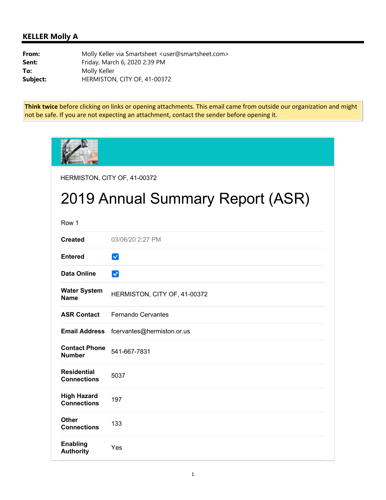## **KELLER Molly A**

**From:** Molly Keller via Smartsheet <user@smartsheet.com> **Sent:** Friday, March 6, 2020 2:39 PM **To:** Molly Keller **Subject:** HERMISTON, CITY OF, 41-00372

**Think twice** before clicking on links or opening attachments. This email came from outside our organization and might not be safe. If you are not expecting an attachment, contact the sender before opening it.

| HERMISTON, CITY OF, 41-00372             |                              |  |
|------------------------------------------|------------------------------|--|
| 2019 Annual Summary Report (ASR)         |                              |  |
| Row 1                                    |                              |  |
| <b>Created</b>                           | 03/06/20 2:27 PM             |  |
| <b>Entered</b>                           | $\checkmark$                 |  |
| <b>Data Online</b>                       | $\checkmark$                 |  |
| <b>Water System</b><br><b>Name</b>       | HERMISTON, CITY OF, 41-00372 |  |
| <b>ASR Contact</b>                       | <b>Fernando Cervantes</b>    |  |
| <b>Email Address</b>                     | fcervantes@hermiston.or.us   |  |
| <b>Contact Phone</b><br><b>Number</b>    | 541-667-7831                 |  |
| <b>Residential</b><br><b>Connections</b> | 5037                         |  |
| <b>High Hazard</b><br><b>Connections</b> | 197                          |  |
| <b>Other</b><br><b>Connections</b>       | 133                          |  |
| <b>Enabling</b><br><b>Authority</b>      | Yes                          |  |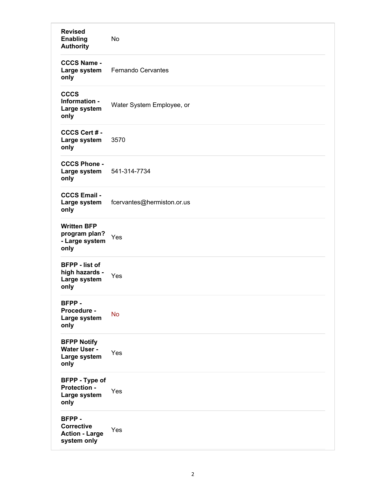| <b>Revised</b><br><b>Enabling</b><br><b>Authority</b>              | No                         |
|--------------------------------------------------------------------|----------------------------|
| <b>CCCS Name -</b><br>Large system<br>only                         | <b>Fernando Cervantes</b>  |
| <b>CCCS</b><br>Information -<br>Large system<br>only               | Water System Employee, or  |
| CCCS Cert # -<br>Large system<br>only                              | 3570                       |
| <b>CCCS Phone -</b><br>Large system<br>only                        | 541-314-7734               |
| <b>CCCS Email -</b><br>Large system<br>only                        | fcervantes@hermiston.or.us |
| <b>Written BFP</b><br>program plan?<br>- Large system<br>only      | Yes                        |
| <b>BFPP</b> - list of<br>high hazards -<br>Large system<br>only    | Yes                        |
| BFPP-<br>Procedure -<br>Large system<br>only                       | <b>No</b>                  |
| <b>BFPP Notify</b><br>Water User -<br>Large system<br>only         | Yes                        |
| <b>BFPP</b> - Type of<br>Protection -<br>Large system<br>only      | Yes                        |
| BFPP-<br><b>Corrective</b><br><b>Action - Large</b><br>system only | Yes                        |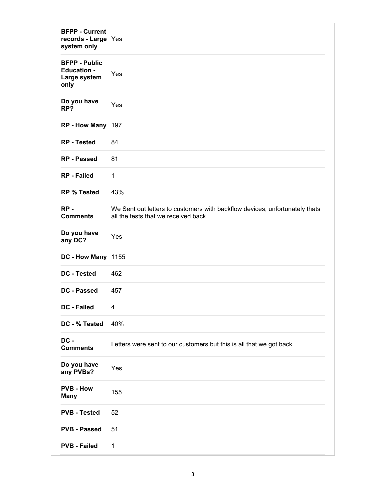| <b>BFPP - Current</b><br>records - Large Yes<br>system only        |                                                                                                                     |
|--------------------------------------------------------------------|---------------------------------------------------------------------------------------------------------------------|
| <b>BFPP - Public</b><br><b>Education -</b><br>Large system<br>only | Yes                                                                                                                 |
| Do you have<br>RP?                                                 | Yes                                                                                                                 |
| RP - How Many 197                                                  |                                                                                                                     |
| <b>RP</b> - Tested                                                 | 84                                                                                                                  |
| <b>RP</b> - Passed                                                 | 81                                                                                                                  |
| <b>RP</b> - Failed                                                 | $\mathbf{1}$                                                                                                        |
| <b>RP % Tested</b>                                                 | 43%                                                                                                                 |
| $RP -$<br><b>Comments</b>                                          | We Sent out letters to customers with backflow devices, unfortunately thats<br>all the tests that we received back. |
| Do you have<br>any DC?                                             | Yes                                                                                                                 |
| DC - How Many 1155                                                 |                                                                                                                     |
| <b>DC</b> - Tested                                                 | 462                                                                                                                 |
| DC - Passed                                                        | 457                                                                                                                 |
| <b>DC - Failed</b>                                                 | 4                                                                                                                   |
| DC - % Tested                                                      | 40%                                                                                                                 |
| DC -<br><b>Comments</b>                                            | Letters were sent to our customers but this is all that we got back.                                                |
| Do you have<br>any PVBs?                                           | Yes                                                                                                                 |
| <b>PVB - How</b><br><b>Many</b>                                    | 155                                                                                                                 |
| <b>PVB - Tested</b>                                                | 52                                                                                                                  |
| <b>PVB - Passed</b>                                                | 51                                                                                                                  |
| <b>PVB - Failed</b>                                                | $\mathbf{1}$                                                                                                        |